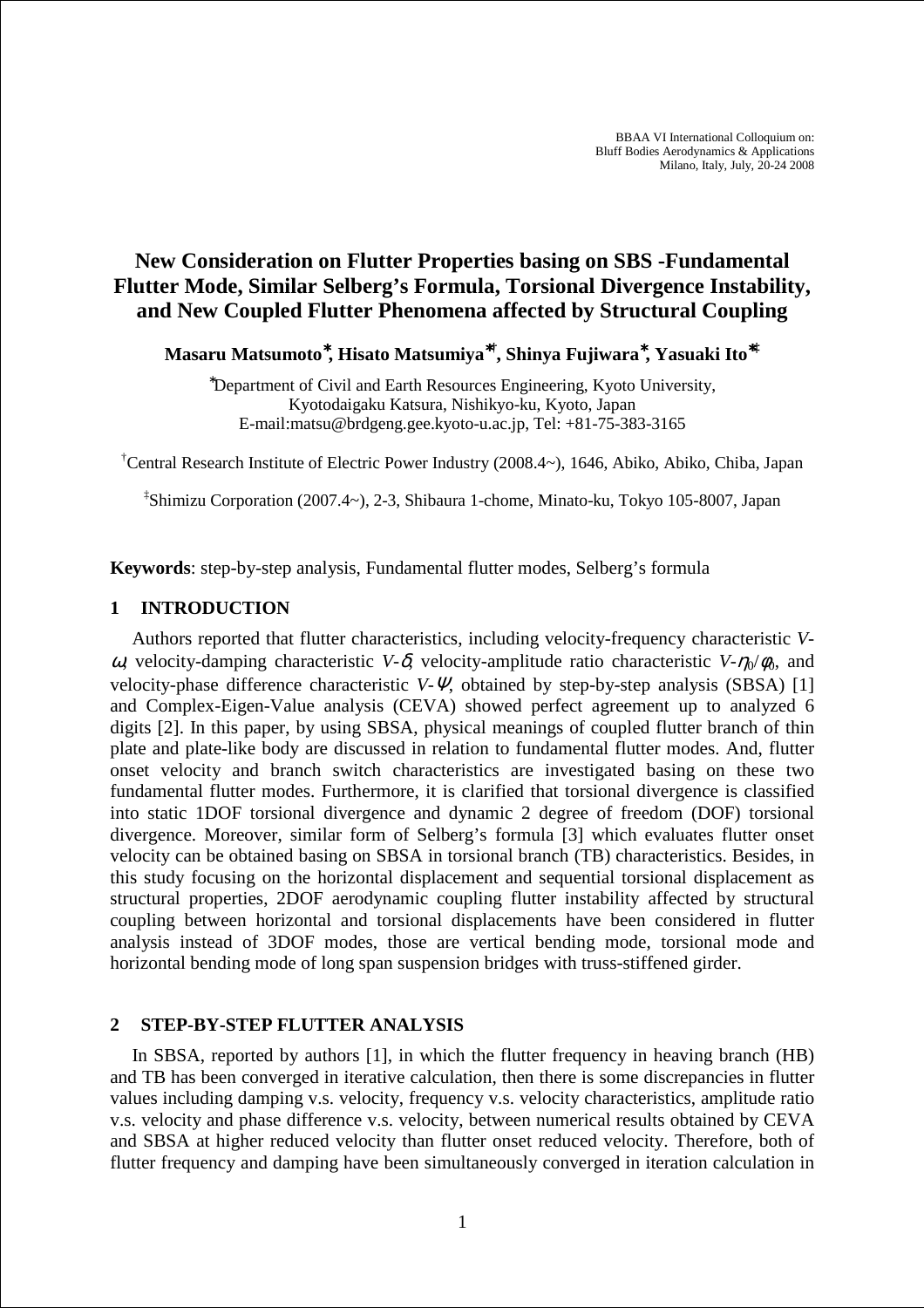# **New Consideration on Flutter Properties basing on SBS -Fundamental Flutter Mode, Similar Selberg's Formula, Torsional Divergence Instability, and New Coupled Flutter Phenomena affected by Structural Coupling**

**Masaru Matsumoto**<sup>∗</sup>**, Hisato Matsumiya**<sup>∗</sup>**† , Shinya Fujiwara**<sup>∗</sup>**, Yasuaki Ito**<sup>∗</sup>**‡**

<sup>∗</sup>Department of Civil and Earth Resources Engineering, Kyoto University, Kyotodaigaku Katsura, Nishikyo-ku, Kyoto, Japan E-mail:matsu@brdgeng.gee.kyoto-u.ac.jp, Tel: +81-75-383-3165

†Central Research Institute of Electric Power Industry (2008.4~), 1646, Abiko, Abiko, Chiba, Japan

‡ Shimizu Corporation (2007.4~), 2-3, Shibaura 1-chome, Minato-ku, Tokyo 105-8007, Japan

**Keywords**: step-by-step analysis, Fundamental flutter modes, Selberg's formula

# **1 INTRODUCTION**

Authors reported that flutter characteristics, including velocity-frequency characteristic *V*ω, velocity-damping characteristic *V*-δ, velocity-amplitude ratio characteristic *V*-η<sub>0</sub>/φ<sub>0</sub>, and velocity-phase difference characteristic *V*-Ψ, obtained by step-by-step analysis (SBSA) [1] and Complex-Eigen-Value analysis (CEVA) showed perfect agreement up to analyzed 6 digits [2]. In this paper, by using SBSA, physical meanings of coupled flutter branch of thin plate and plate-like body are discussed in relation to fundamental flutter modes. And, flutter onset velocity and branch switch characteristics are investigated basing on these two fundamental flutter modes. Furthermore, it is clarified that torsional divergence is classified into static 1DOF torsional divergence and dynamic 2 degree of freedom (DOF) torsional divergence. Moreover, similar form of Selberg's formula [3] which evaluates flutter onset velocity can be obtained basing on SBSA in torsional branch (TB) characteristics. Besides, in this study focusing on the horizontal displacement and sequential torsional displacement as structural properties, 2DOF aerodynamic coupling flutter instability affected by structural coupling between horizontal and torsional displacements have been considered in flutter analysis instead of 3DOF modes, those are vertical bending mode, torsional mode and horizontal bending mode of long span suspension bridges with truss-stiffened girder.

## **2 STEP-BY-STEP FLUTTER ANALYSIS**

In SBSA, reported by authors [1], in which the flutter frequency in heaving branch (HB) and TB has been converged in iterative calculation, then there is some discrepancies in flutter values including damping v.s. velocity, frequency v.s. velocity characteristics, amplitude ratio v.s. velocity and phase difference v.s. velocity, between numerical results obtained by CEVA and SBSA at higher reduced velocity than flutter onset reduced velocity. Therefore, both of flutter frequency and damping have been simultaneously converged in iteration calculation in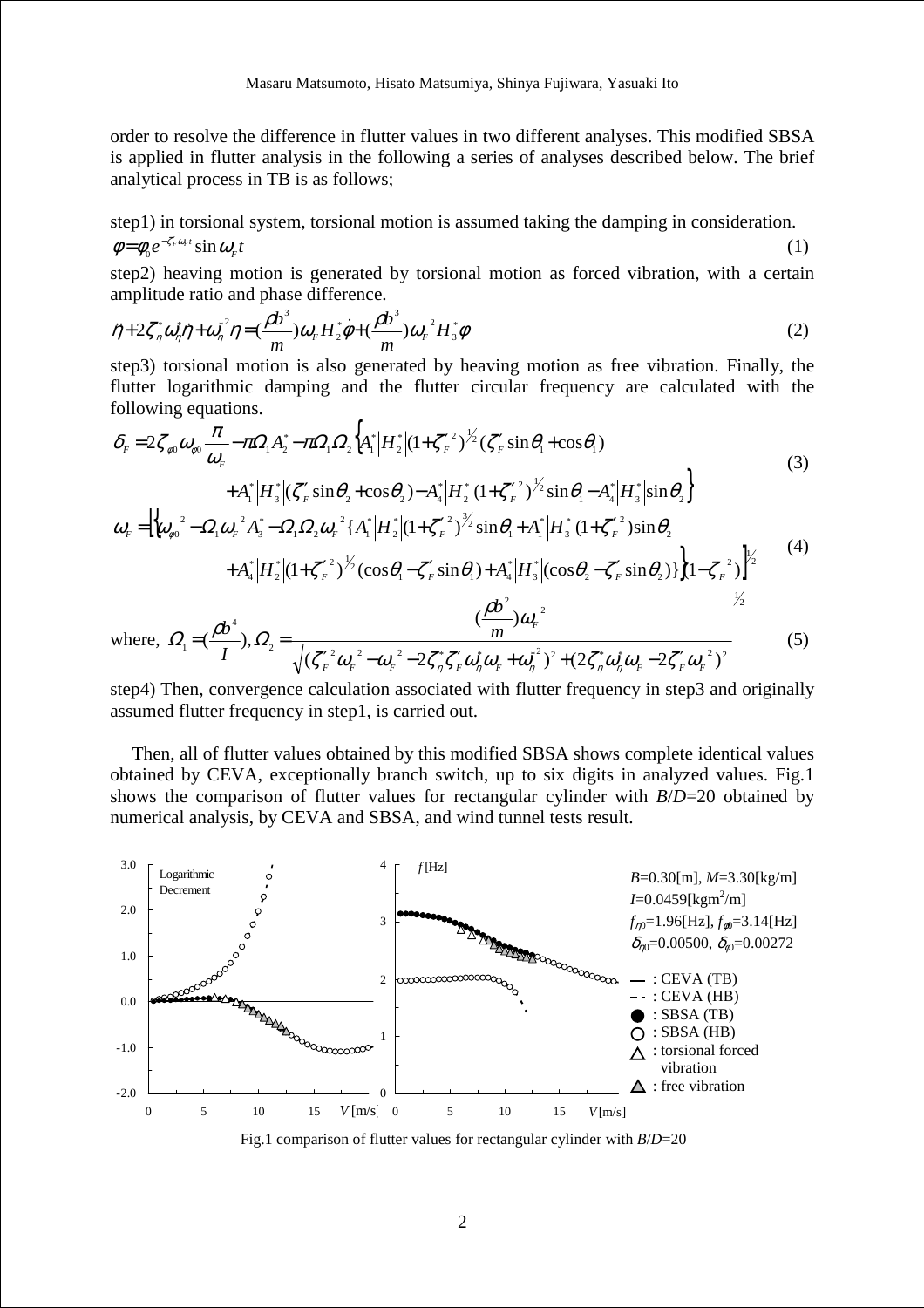order to resolve the difference in flutter values in two different analyses. This modified SBSA is applied in flutter analysis in the following a series of analyses described below. The brief analytical process in TB is as follows;

step1) in torsional system, torsional motion is assumed taking the damping in consideration.  $e^{-\zeta_F^r \omega_F t} \sin \omega_F t$  $\phi = \phi_0 e^{-\zeta_r^2 \omega_r t} \sin \omega_r t$  (1)

step2) heaving motion is generated by torsional motion as forced vibration, with a certain amplitude ratio and phase difference.

$$
\ddot{\eta} + 2\zeta_n^* \omega_n^* \dot{\eta} + \omega_n^{*2} \eta = (\frac{\rho b^3}{m}) \omega_F H_2^* \dot{\phi} + (\frac{\rho b^3}{m}) \omega_F^2 H_3^* \phi
$$
\n(2)

step3) torsional motion is also generated by heaving motion as free vibration. Finally, the flutter logarithmic damping and the flutter circular frequency are calculated with the following equations.

$$
\delta_{F} = 2\zeta_{\phi0}\omega_{\phi0}\frac{\pi}{\omega_{F}} - \pi\Omega_{1}A_{2}^{*} - \pi\Omega_{1}\Omega_{2}\left\{A_{1}^{*}\middle|H_{2}^{*}\middle|(1+\zeta_{F}^{*2})^{\frac{1}{2}}(\zeta_{F}'\sin\theta_{1}+\cos\theta_{1})\right.\n+A_{1}^{*}\middle|H_{3}^{*}\middle|\left(\zeta_{F}'\sin\theta_{2}+\cos\theta_{2}\right)-A_{4}^{*}\middle|H_{2}^{*}\middle|(1+\zeta_{F}^{*2})^{\frac{1}{2}}\sin\theta_{1}-A_{4}^{*}\middle|H_{3}^{*}\middle|\sin\theta_{2}\right\}
$$
\n
$$
\omega_{F} = \left\{\omega_{\phi0}^{2} - \Omega_{1}\omega_{F}^{2}A_{3}^{*} - \Omega_{1}\Omega_{2}\omega_{F}^{2}\left\{A_{1}^{*}\middle|H_{2}^{*}\middle|(1+\zeta_{F}^{*2})^{\frac{3}{2}}\sin\theta_{1}+A_{1}^{*}\middle|H_{3}^{*}\middle|(1+\zeta_{F}^{*2})\sin\theta_{2}\right.\n+A_{4}^{*}\middle|H_{2}^{*}\middle|(1+\zeta_{F}^{*2})^{\frac{1}{2}}(\cos\theta_{1}-\zeta_{F}'\sin\theta_{1})+A_{4}^{*}\middle|H_{3}^{*}\middle|\left(\cos\theta_{2}-\zeta_{F}'\sin\theta_{2}\right)\right\}\left(1-\zeta_{F}^{2}\right)\right\}^{1/2}
$$
\nwhere 
$$
Q = (\frac{\rho b^{4}}{m})Q = \frac{(\frac{\rho b^{2}}{m})\omega_{F}^{2}}{m} \tag{5}
$$

where,  $\Omega_1 = (\frac{\rho v}{L}), \Omega_2 = \frac{m}{\sqrt{(r^2 \omega^2 - \omega^2 - 2r^2 r^2/\omega^2 \omega + \omega^2)^2 + (2r^2 \omega^2 \omega - 2r^2/\omega^2)^2}}$ 4  $\frac{1}{2}$  (1)  $\frac{1}{2}$   $\sqrt{(\zeta_F'^2 \omega_F^2 - \omega_F^2 - 2\zeta_n^* \zeta_F' \omega_n^* \omega_F + \omega_n^*)^2 + (2\zeta_n^* \omega_n^* \omega_F - 2\zeta_F' \omega_F^2)}$  $\left(\frac{\mu\nu}{I}\right),$ *I b*  $Q = (\frac{\rho b}{\rho}) Q$  $=(\frac{\rho v}{r}), \Omega_2 = \frac{m}{(5)}$  (5)

step4) Then, convergence calculation associated with flutter frequency in step3 and originally assumed flutter frequency in step1, is carried out.

 $F_F$   $\omega_F$   $\omega_F$   $\omega_S$   $\omega_S$   $F_F$   $\omega_q$   $\omega_F$   $\omega_S$   $\omega_R$   $\omega_F$   $\omega_S$   $F_F$   $\omega_F$ 

 $(\zeta_{F}^{\prime\,2}\omega_{F}^{\phantom{F}}-\omega_{F}^{\phantom{F}}-2\zeta_{n}^{\ast}\zeta_{F}^{\prime}\omega_{n}^{\ast}\omega_{F}^{\phantom{F}}+\omega_{n}^{\ast\,2})^{2}+(2\zeta_{n}^{\ast}\omega_{n}^{\ast}\omega_{F}^{\phantom{F}}-2\zeta_{F}^{\prime}\omega_{F}^{\ast})$ 

 $\mathcal{N}_{F}^{'2} \omega_{F}^{-2} - \omega_{F}^{-2} - 2 \zeta_{\eta}^{*} \zeta_{F}' \omega_{\eta}^{*} \omega_{F} + \omega_{\eta}^{*2})^{2} + (2 \zeta_{\eta}^{*} \omega_{\eta}^{*} \omega_{F} - 2 \zeta_{F}' \omega_{F}^{*} \omega_{F}^{*} )$ 

Then, all of flutter values obtained by this modified SBSA shows complete identical values obtained by CEVA, exceptionally branch switch, up to six digits in analyzed values. Fig.1 shows the comparison of flutter values for rectangular cylinder with *B*/*D*=20 obtained by numerical analysis, by CEVA and SBSA, and wind tunnel tests result.



Fig.1 comparison of flutter values for rectangular cylinder with *B*/*D*=20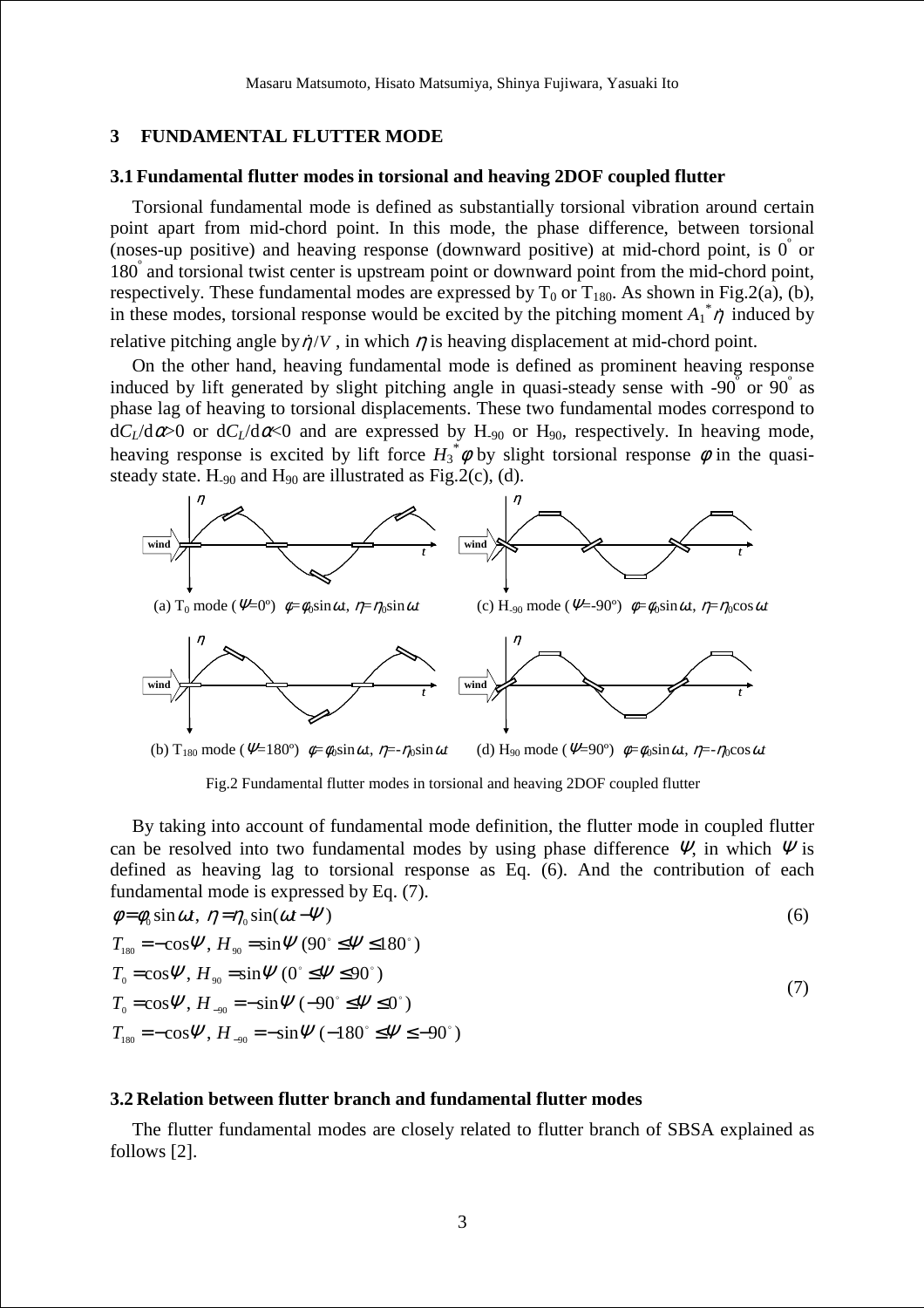## **3 FUNDAMENTAL FLUTTER MODE**

#### **3.1 Fundamental flutter modes in torsional and heaving 2DOF coupled flutter**

Torsional fundamental mode is defined as substantially torsional vibration around certain point apart from mid-chord point. In this mode, the phase difference, between torsional (noses-up positive) and heaving response (downward positive) at mid-chord point, is  $0^{\degree}$  or 180° and torsional twist center is upstream point or downward point from the mid-chord point, respectively. These fundamental modes are expressed by  $T_0$  or  $T_{180}$ . As shown in Fig.2(a), (b), in these modes, torsional response would be excited by the pitching moment  $A_1^* \eta$  induced by relative pitching angle by  $\eta/V$ , in which  $\eta$  is heaving displacement at mid-chord point.

On the other hand, heaving fundamental mode is defined as prominent heaving response induced by lift generated by slight pitching angle in quasi-steady sense with -90  $\sigma$  or 90 as phase lag of heaving to torsional displacements. These two fundamental modes correspond to  $dC_L/d\alpha > 0$  or  $dC_L/d\alpha < 0$  and are expressed by H<sub>-90</sub> or H<sub>90</sub>, respectively. In heaving mode, heaving response is excited by lift force  $H_3^* \phi$  by slight torsional response  $\phi$  in the quasisteady state. H<sub>-90</sub> and H<sub>90</sub> are illustrated as Fig.2(c), (d).



Fig.2 Fundamental flutter modes in torsional and heaving 2DOF coupled flutter

By taking into account of fundamental mode definition, the flutter mode in coupled flutter can be resolved into two fundamental modes by using phase difference  $\Psi$ , in which  $\Psi$  is defined as heaving lag to torsional response as Eq. (6). And the contribution of each fundamental mode is expressed by Eq. (7).

$$
\phi = \phi_0 \sin \omega t, \ \eta = \eta_0 \sin(\omega t - \Psi) \tag{6}
$$
\n
$$
T_{180} = -\cos \Psi, \ H_{90} = \sin \Psi (90^\circ \le \Psi \le 180^\circ)
$$
\n
$$
T_0 = \cos \Psi, \ H_{90} = \sin \Psi (0^\circ \le \Psi \le 90^\circ)
$$
\n
$$
T_0 = \cos \Psi, \ H_{-90} = -\sin \Psi (-90^\circ \le \Psi \le 0^\circ)
$$
\n
$$
T_{180} = -\cos \Psi, \ H_{-90} = -\sin \Psi (-180^\circ \le \Psi \le -90^\circ)
$$
\n(7)

#### **3.2 Relation between flutter branch and fundamental flutter modes**

The flutter fundamental modes are closely related to flutter branch of SBSA explained as follows [2].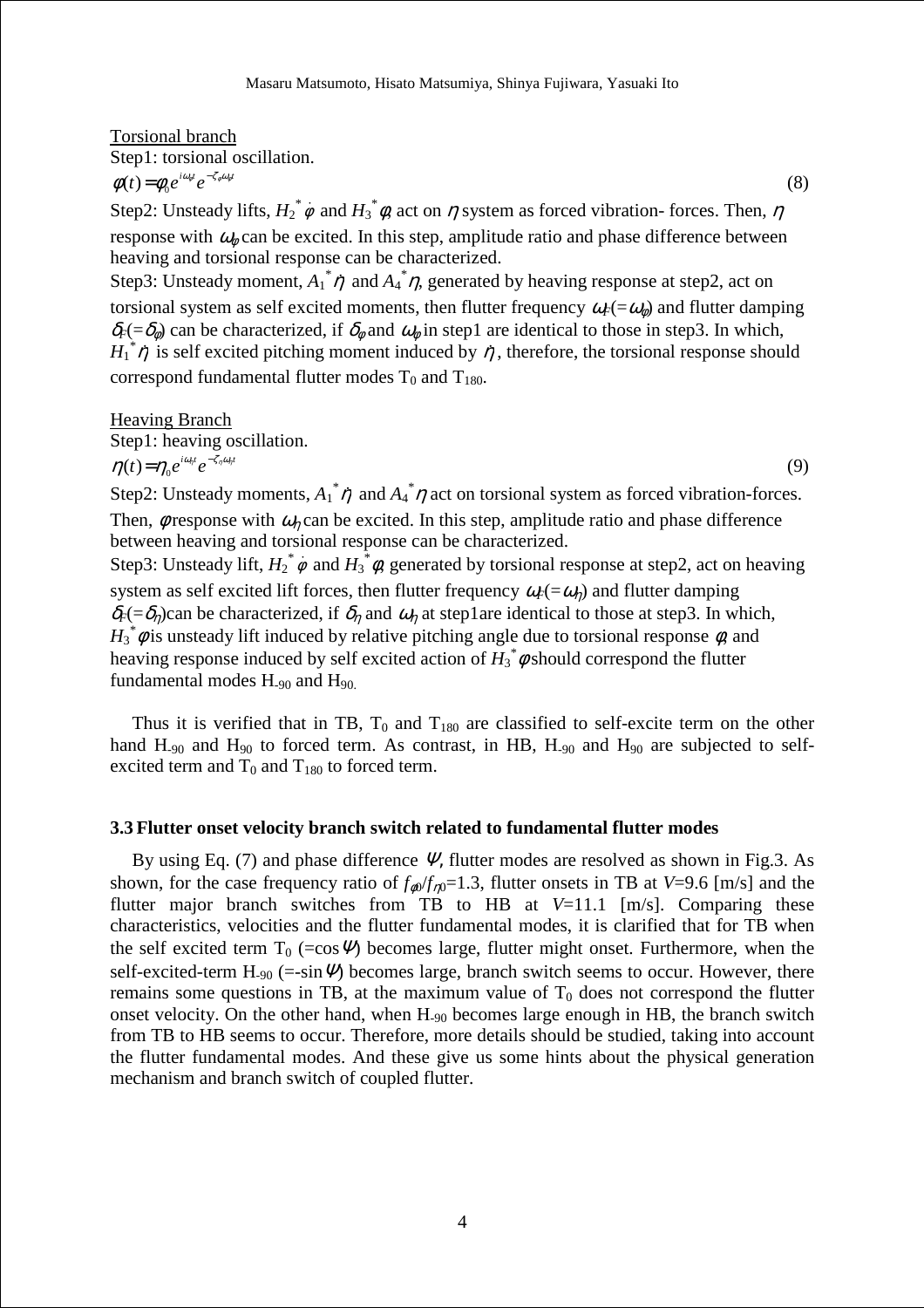# Torsional branch Step1: torsional oscillation.  $\phi(t) = \phi_0 e^{i\omega_0 t} e^{-\zeta_0 \omega_0 t}$ (8)

Step2: Unsteady lifts,  $H_2^* \dot{\phi}$  and  $H_3^* \dot{\phi}$ , act on  $\eta$  system as forced vibration-forces. Then,  $\eta$ response with  $\omega_{\phi}$  can be excited. In this step, amplitude ratio and phase difference between heaving and torsional response can be characterized.

Step3: Unsteady moment,  $A_1^* \eta$  and  $A_4^* \eta$ , generated by heaving response at step2, act on torsional system as self excited moments, then flutter frequency  $\omega_F(=\omega_\phi)$  and flutter damping  $\delta_F$ (= $\delta_\phi$ ) can be characterized, if  $\delta_\phi$  and  $\omega_\phi$  in step1 are identical to those in step3. In which,  $H_1^* \eta$  is self excited pitching moment induced by  $\eta$ , therefore, the torsional response should correspond fundamental flutter modes  $T_0$  and  $T_{180}$ .

Heaving Branch Step1: heaving oscillation.  $\eta(t) = \eta_0 e^{i\omega_n t} e^{-\zeta_n \omega_n t}$  (9) Step2: Unsteady moments,  $A_1^* \eta$  and  $A_4^* \eta$  act on torsional system as forced vibration-forces.

Then,  $\phi$  response with  $\omega_n$  can be excited. In this step, amplitude ratio and phase difference between heaving and torsional response can be characterized. Step3: Unsteady lift,  $H_2^* \dot{\phi}$  and  $H_3^* \dot{\phi}$ , generated by torsional response at step2, act on heaving system as self excited lift forces, then flutter frequency  $\omega_F(=\omega_n)$  and flutter damping  $\delta_F$ (= $\delta_\eta$ )can be characterized, if  $\delta_\eta$  and  $\omega_\eta$  at step1are identical to those at step3. In which,  $H_3^*$   $\phi$  is unsteady lift induced by relative pitching angle due to torsional response  $\phi$ , and heaving response induced by self excited action of  $H_3^* \phi$  should correspond the flutter

fundamental modes  $H_{.90}$  and  $H_{.90}$ .

Thus it is verified that in TB,  $T_0$  and  $T_{180}$  are classified to self-excite term on the other hand  $H_{.90}$  and  $H_{90}$  to forced term. As contrast, in HB,  $H_{.90}$  and  $H_{90}$  are subjected to selfexcited term and  $T_0$  and  $T_{180}$  to forced term.

#### **3.3 Flutter onset velocity branch switch related to fundamental flutter modes**

By using Eq. (7) and phase difference  $\Psi$ , flutter modes are resolved as shown in Fig.3. As shown, for the case frequency ratio of  $f_{\phi0}/f_{n0}=1.3$ , flutter onsets in TB at *V*=9.6 [m/s] and the flutter major branch switches from TB to HB at *V*=11.1 [m/s]. Comparing these characteristics, velocities and the flutter fundamental modes, it is clarified that for TB when the self excited term  $T_0$  (=cos  $\mathcal{Y}$ ) becomes large, flutter might onset. Furthermore, when the self-excited-term H<sub>-90</sub> (=-sin  $\Psi$ ) becomes large, branch switch seems to occur. However, there remains some questions in TB, at the maximum value of  $T_0$  does not correspond the flutter onset velocity. On the other hand, when H-90 becomes large enough in HB, the branch switch from TB to HB seems to occur. Therefore, more details should be studied, taking into account the flutter fundamental modes. And these give us some hints about the physical generation mechanism and branch switch of coupled flutter.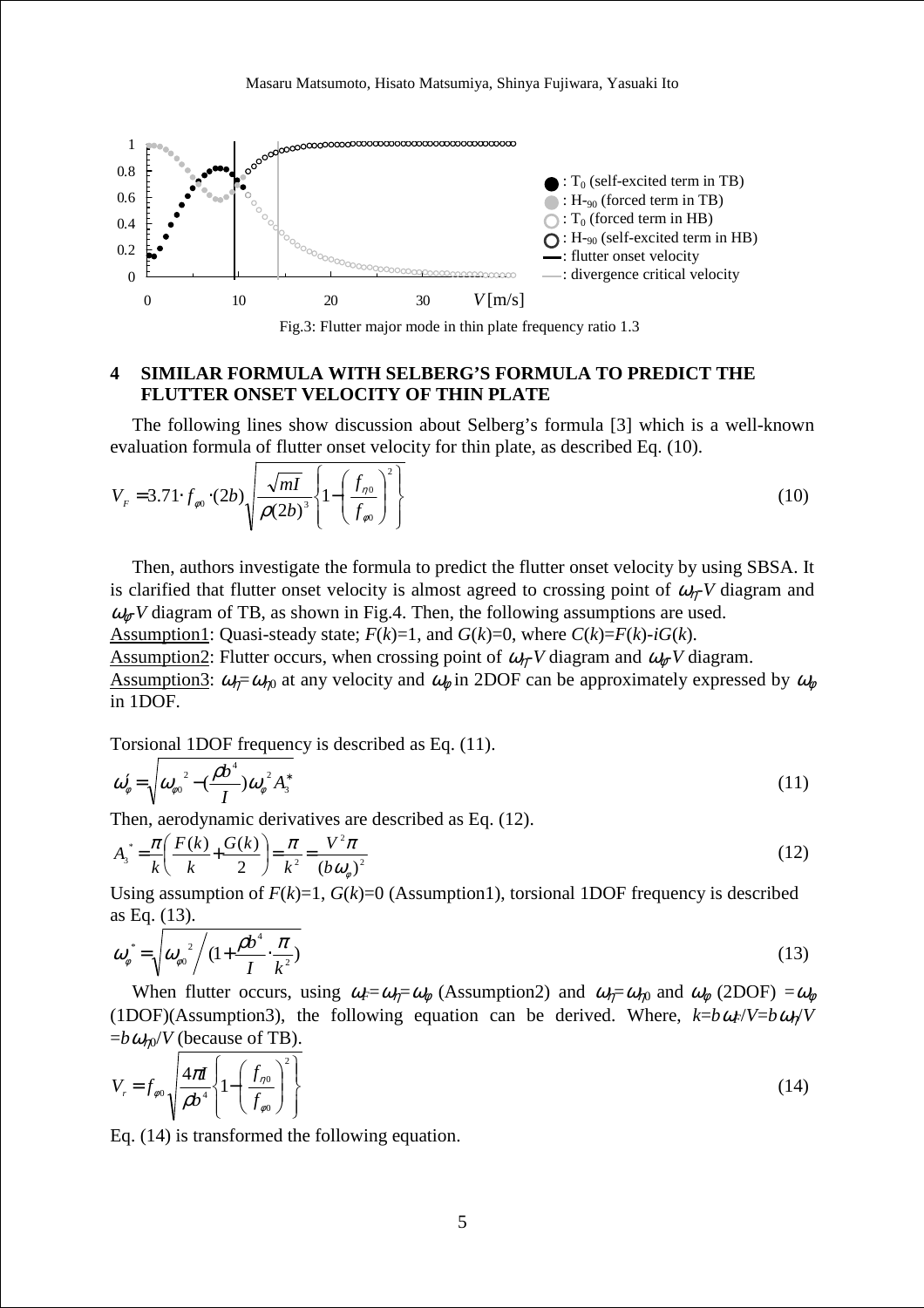

Fig.3: Flutter major mode in thin plate frequency ratio 1.3

# **4 SIMILAR FORMULA WITH SELBERG'S FORMULA TO PREDICT THE FLUTTER ONSET VELOCITY OF THIN PLATE**

The following lines show discussion about Selberg's formula [3] which is a well-known evaluation formula of flutter onset velocity for thin plate, as described Eq. (10).

$$
V_F = 3.71 \cdot f_{\phi 0} \cdot (2b) \sqrt{\frac{\sqrt{ml}}{\rho (2b)^3}} \left\{ 1 - \left( \frac{f_{\eta 0}}{f_{\phi 0}} \right)^2 \right\} \tag{10}
$$

Then, authors investigate the formula to predict the flutter onset velocity by using SBSA. It is clarified that flutter onset velocity is almost agreed to crossing point of  $\omega_n$ -*V* diagram and  $\omega_{\phi}$ -*V* diagram of TB, as shown in Fig.4. Then, the following assumptions are used.

Assumption1: Quasi-steady state;  $F(k)=1$ , and  $G(k)=0$ , where  $C(k)=F(k)-iG(k)$ . Assumption2: Flutter occurs, when crossing point of  $\omega_{n}$ -*V* diagram and  $\omega_{n}$ -*V* diagram. Assumption3:  $\omega_{\eta} = \omega_{\eta0}$  at any velocity and  $\omega_{\phi}$  in 2DOF can be approximately expressed by  $\omega_{\phi}$ in 1DOF.

Torsional 1DOF frequency is described as Eq. (11).

$$
\omega_{\phi}' = \sqrt{\omega_{\phi^0}^2 - (\frac{\rho b^4}{I})\omega_{\phi}^2 A_3^*}
$$
 (11)

Then, aerodynamic derivatives are described as Eq. (12).

$$
A_{3}^* = \frac{\pi}{k} \left( \frac{F(k)}{k} + \frac{G(k)}{2} \right) = \frac{\pi}{k^2} = \frac{V^2 \pi}{(b \omega_{\phi})^2}
$$
 (12)

Using assumption of  $F(k)=1$ ,  $G(k)=0$  (Assumption1), torsional 1DOF frequency is described as Eq. (13).

$$
\omega_{\phi}^* = \sqrt{\omega_{\phi 0}^2 / (1 + \frac{\rho b^4}{I} \cdot \frac{\pi}{k^2})}
$$
\n(13)

When flutter occurs, using  $\omega_F = \omega_n = \omega_\phi$  (Assumption2) and  $\omega_\theta = \omega_{n0}$  and  $\omega_\phi$  (2DOF) = $\omega_\phi$ (1DOF)(Assumption3), the following equation can be derived. Where,  $k=b\omega_F/V=b\omega_p/V$  $= b \omega_{n0} / V$  (because of TB).

$$
V_r = f_{\phi 0} \sqrt{\frac{4\pi l}{\rho b^4}} \left\{ 1 - \left(\frac{f_{\eta 0}}{f_{\phi 0}}\right)^2 \right\} \tag{14}
$$

Eq. (14) is transformed the following equation.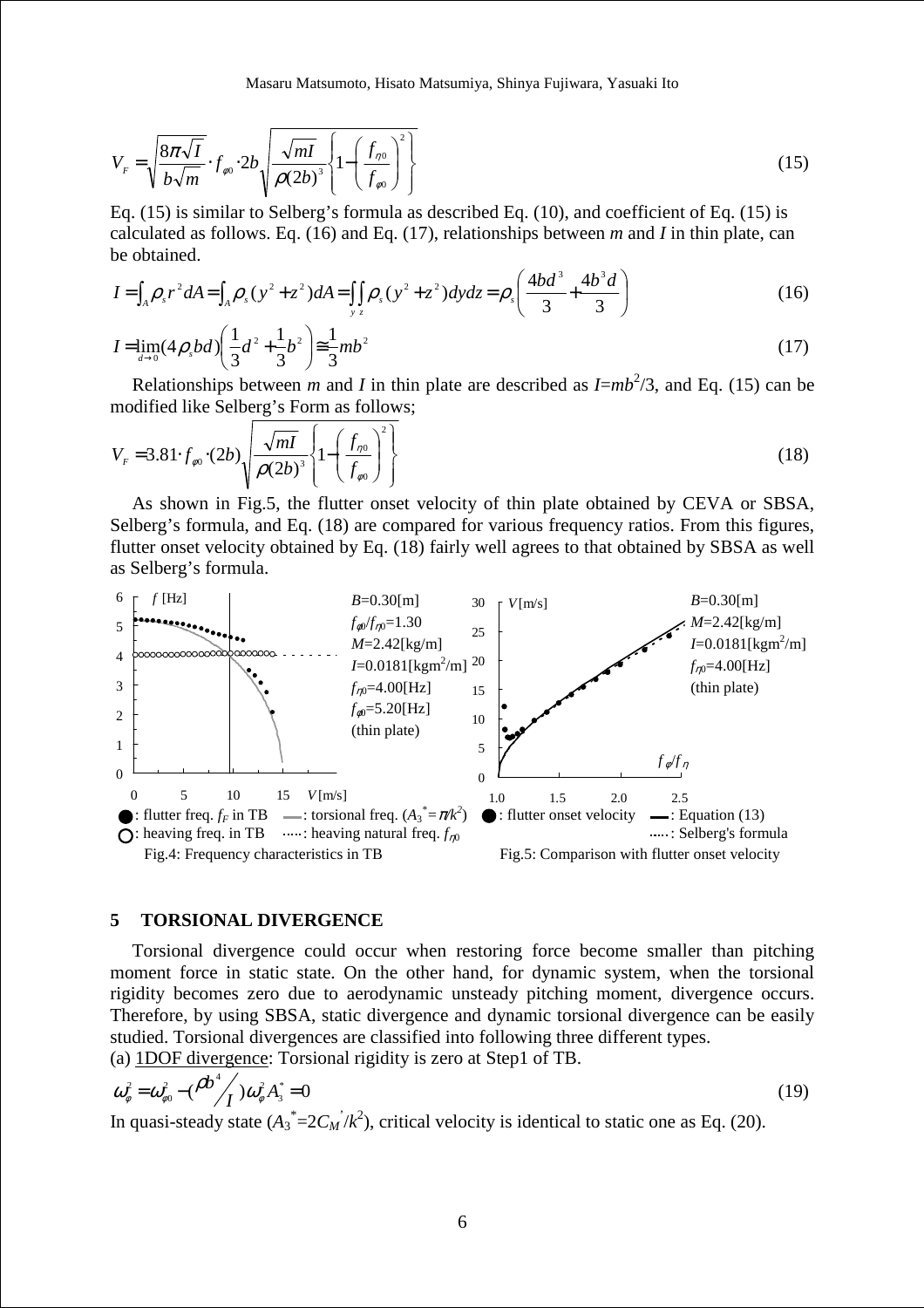Masaru Matsumoto, Hisato Matsumiya, Shinya Fujiwara, Yasuaki Ito

$$
V_{F} = \sqrt{\frac{8\pi\sqrt{I}}{b\sqrt{m}}} \cdot f_{\phi 0} \cdot 2b \sqrt{\frac{\sqrt{ml}}{\rho(2b)^{3}}} \left\{ 1 - \left(\frac{f_{\eta 0}}{f_{\phi 0}}\right)^{2} \right\}
$$
(15)

Eq. (15) is similar to Selberg's formula as described Eq. (10), and coefficient of Eq. (15) is calculated as follows. Eq. (16) and Eq. (17), relationships between *m* and *I* in thin plate, can be obtained.

$$
I = \int_{A} \rho_{s} r^{2} dA = \int_{A} \rho_{s} (y^{2} + z^{2}) dA = \iint_{y} \rho_{s} (y^{2} + z^{2}) dy dz = \rho_{s} \left( \frac{4bd^{3}}{3} + \frac{4b^{3}d}{3} \right)
$$
(16)

$$
I = \lim_{d \to 0} (4\rho_s bd) \left( \frac{1}{3} d^2 + \frac{1}{3} b^2 \right) \equiv \frac{1}{3} mb^2
$$
 (17)

Relationships between *m* and *I* in thin plate are described as  $I = mb^2/3$ , and Eq. (15) can be modified like Selberg's Form as follows;

$$
V_F = 3.81 \cdot f_{\phi 0} \cdot (2b) \sqrt{\frac{\sqrt{ml}}{\rho (2b)^3}} \left\{ 1 - \left(\frac{f_{\eta 0}}{f_{\phi 0}}\right)^2 \right\}
$$
 (18)

As shown in Fig.5, the flutter onset velocity of thin plate obtained by CEVA or SBSA, Selberg's formula, and Eq. (18) are compared for various frequency ratios. From this figures, flutter onset velocity obtained by Eq. (18) fairly well agrees to that obtained by SBSA as well as Selberg's formula.



## **5 TORSIONAL DIVERGENCE**

Torsional divergence could occur when restoring force become smaller than pitching moment force in static state. On the other hand, for dynamic system, when the torsional rigidity becomes zero due to aerodynamic unsteady pitching moment, divergence occurs. Therefore, by using SBSA, static divergence and dynamic torsional divergence can be easily studied. Torsional divergences are classified into following three different types. (a) 1DOF divergence: Torsional rigidity is zero at Step1 of TB.

$$
\omega_{\phi}^{2} = \omega_{\phi0}^{2} - (\frac{\rho b^{4}}{I})\omega_{\phi}^{2} A_{3}^{*} = 0
$$
\n(19)

In quasi-steady state  $(A_3^* = 2C_M / k^2)$ , critical velocity is identical to static one as Eq. (20).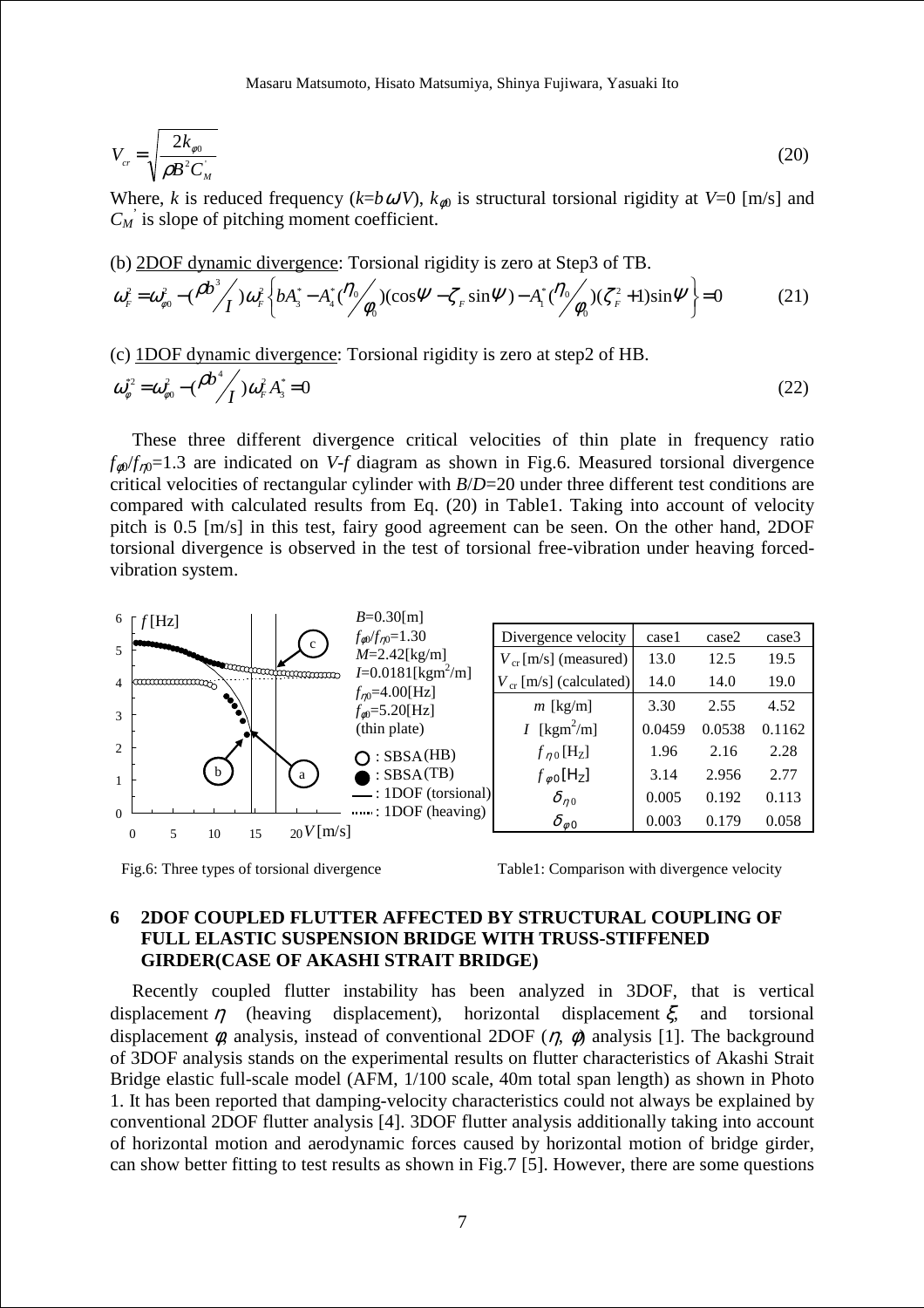Masaru Matsumoto, Hisato Matsumiya, Shinya Fujiwara, Yasuaki Ito

$$
V_{cr} = \sqrt{\frac{2k_{\phi 0}}{\rho B^2 C_M}}
$$
 (20)

Where, *k* is reduced frequency ( $k=b\omega/V$ ),  $k_{\omega 0}$  is structural torsional rigidity at  $V=0$  [m/s] and  $C_M$ <sup>'</sup> is slope of pitching moment coefficient.

(b) 2DOF dynamic divergence: Torsional rigidity is zero at Step3 of TB.  
\n
$$
\omega_r^2 = \omega_{\phi 0}^2 - (\frac{\rho b^3}{I}) \omega_r^2 \left\{ b A_3^* - A_4^* (\frac{\eta_0}{\phi_0})(\cos \Psi - \zeta_r \sin \Psi) - A_1^* (\frac{\eta_0}{\phi_0})(\zeta_r^2 + 1) \sin \Psi \right\} = 0
$$
\n(21)

(c) 1DOF dynamic divergence: Torsional rigidity is zero at step2 of HB.

$$
\omega_{\phi}^{*2} = \omega_{\phi}^2 - (\frac{\rho b^4}{I}) \omega_F^2 A_3^* = 0
$$
\n(22)

These three different divergence critical velocities of thin plate in frequency ratio  $f_{\phi0}/f_{n0}=1.3$  are indicated on *V-f* diagram as shown in Fig.6. Measured torsional divergence critical velocities of rectangular cylinder with *B*/*D*=20 under three different test conditions are compared with calculated results from Eq. (20) in Table1. Taking into account of velocity pitch is 0.5 [m/s] in this test, fairy good agreement can be seen. On the other hand, 2DOF torsional divergence is observed in the test of torsional free-vibration under heaving forcedvibration system.



Fig.6: Three types of torsional divergence

Table1: Comparison with divergence velocity

# **6 2DOF COUPLED FLUTTER AFFECTED BY STRUCTURAL COUPLING OF FULL ELASTIC SUSPENSION BRIDGE WITH TRUSS-STIFFENED GIRDER(CASE OF AKASHI STRAIT BRIDGE)**

Recently coupled flutter instability has been analyzed in 3DOF, that is vertical displacement  $\eta$  (heaving displacement), horizontal displacement  $\xi$ , and torsional displacement  $\phi$ , analysis, instead of conventional 2DOF ( $\eta$ ,  $\phi$ ) analysis [1]. The background of 3DOF analysis stands on the experimental results on flutter characteristics of Akashi Strait Bridge elastic full-scale model (AFM, 1/100 scale, 40m total span length) as shown in Photo 1. It has been reported that damping-velocity characteristics could not always be explained by conventional 2DOF flutter analysis [4]. 3DOF flutter analysis additionally taking into account of horizontal motion and aerodynamic forces caused by horizontal motion of bridge girder, can show better fitting to test results as shown in Fig.7 [5]. However, there are some questions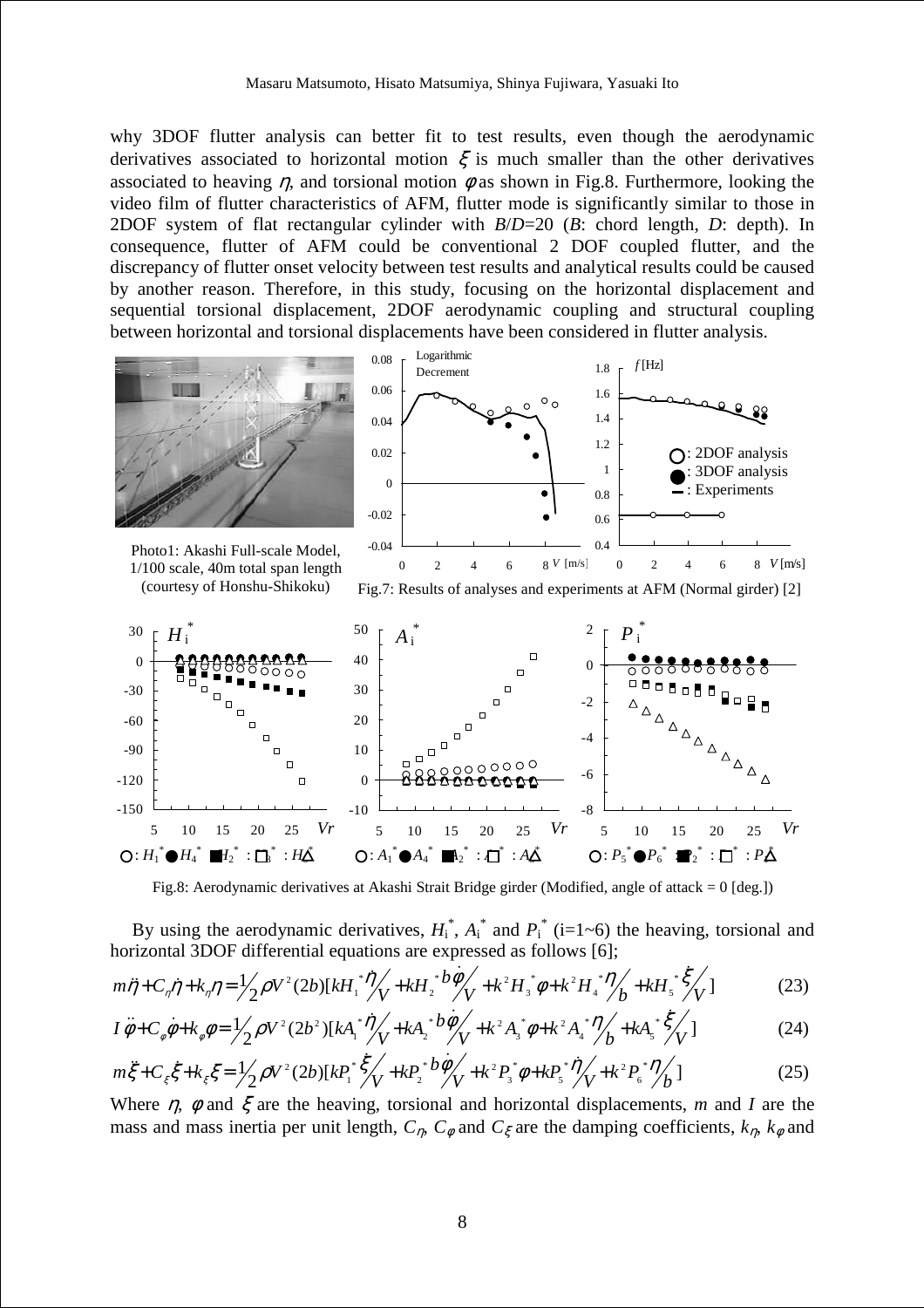why 3DOF flutter analysis can better fit to test results, even though the aerodynamic derivatives associated to horizontal motion  $\xi$  is much smaller than the other derivatives associated to heaving *n*, and torsional motion  $\phi$  as shown in Fig.8. Furthermore, looking the video film of flutter characteristics of AFM, flutter mode is significantly similar to those in 2DOF system of flat rectangular cylinder with *B*/*D*=20 (*B*: chord length, *D*: depth). In consequence, flutter of AFM could be conventional 2 DOF coupled flutter, and the discrepancy of flutter onset velocity between test results and analytical results could be caused by another reason. Therefore, in this study, focusing on the horizontal displacement and sequential torsional displacement, 2DOF aerodynamic coupling and structural coupling between horizontal and torsional displacements have been considered in flutter analysis.



Fig.8: Aerodynamic derivatives at Akashi Strait Bridge girder (Modified, angle of attack = 0 [deg.])

By using the aerodynamic derivatives,  $H_i^*$ ,  $A_i^*$  and  $P_i^*$  (i=1~6) the heaving, torsional and horizontal 3DOF differential equations are expressed as follows [6];

$$
m\ddot{\eta} + C_{\eta}\dot{\eta} + k_{\eta}\eta = \frac{1}{2}\rho V^2 (2b)[kH_1^* \dot{\eta} + kH_2^* \dot{\theta} + k^2H_3^* \dot{\phi} + k^2H_4^* \dot{\eta} + kH_5^* \dot{\zeta} + kH_5^* \dot{\zeta} + kH_6^* \dot{\zeta} + kH_7 \dot{\zeta} + kH_7 \dot{\zeta} + kH_8 \dot{\zeta} + kH_9 \dot{\zeta} + kH_9 \dot{\zeta} + kH_9 \dot{\zeta} + kH_9 \dot{\zeta} + kH_9 \dot{\zeta} + kH_9 \dot{\zeta} + kH_9 \dot{\zeta} + kH_9 \dot{\zeta} + kH_9 \dot{\zeta} + kH_9 \dot{\zeta} + kH_9 \dot{\zeta} + kH_9 \dot{\zeta} + kH_9 \dot{\zeta} + kH_9 \dot{\zeta} + kH_9 \dot{\zeta} + kH_9 \dot{\zeta} + kH_9 \dot{\zeta} + kH_9 \dot{\zeta} + kH_9 \dot{\zeta} + kH_9 \dot{\zeta} + kH_9 \dot{\zeta} + kH_9 \dot{\zeta} + kH_9 \dot{\zeta} + kH_9 \dot{\zeta} + kH_9 \dot{\zeta} + kH_9 \dot{\zeta} + kH_9 \dot{\zeta} + kH_9 \dot{\zeta} + kH_9 \dot{\zeta} + kH_9 \dot{\zeta} + kH_9 \dot{\zeta} + kH_9 \dot{\zeta} + kH_9 \dot{\zeta} + kH_9 \dot{\zeta} + kH_9 \dot{\zeta} + kH_9 \dot{\zeta} + kH_9 \dot{\zeta} + kH_9 \dot{\zeta} + kH_9 \dot{\zeta} + kH_9 \dot{\zeta} + kH_9 \dot{\zeta} + kH_9 \dot{\zeta} + kH_9 \dot{\zeta} + kH_9 \dot{\zeta} + kH_9 \dot{\zeta} + kH_9 \dot{\zeta} + kH_9 \dot{\zeta} + kH_9 \dot{\zeta} + kH_9 \dot{\zeta} + kH_9 \dot{\zeta} + kH_9 \dot{\zeta} + kH_9 \dot{\zeta} + kH_9 \dot{\zeta} + kH_9 \dot{\zeta} + k
$$

$$
I\ddot{\phi} + C_{\phi}\dot{\phi} + k_{\phi}\phi = \frac{1}{2}\rho V^{2}(2b^{2})[kA_{1}^{*}\dot{\eta}_{V} + kA_{2}^{*}b\dot{\phi}_{V} + k^{2}A_{3}^{*}\phi + k^{2}A_{4}^{*}\dot{\eta}_{b} + kA_{5}^{*}\dot{\xi}_{V}]
$$
(24)

$$
m\ddot{\zeta} + C_{\xi}\dot{\zeta} + k_{\xi}\zeta = \frac{1}{2}\rho V^2 (2b)[kP_1^* \dot{\zeta}_V + kP_2^* b\dot{\phi}_V + k^2P_3^* \phi + kP_5^* \dot{\eta}_V + k^2P_6^* \dot{\eta}_B]
$$
(25)

Where  $\eta$ ,  $\phi$  and  $\xi$  are the heaving, torsional and horizontal displacements, *m* and *I* are the mass and mass inertia per unit length,  $C_n$ ,  $C_\phi$  and  $C_\xi$  are the damping coefficients,  $k_n$ ,  $k_\phi$  and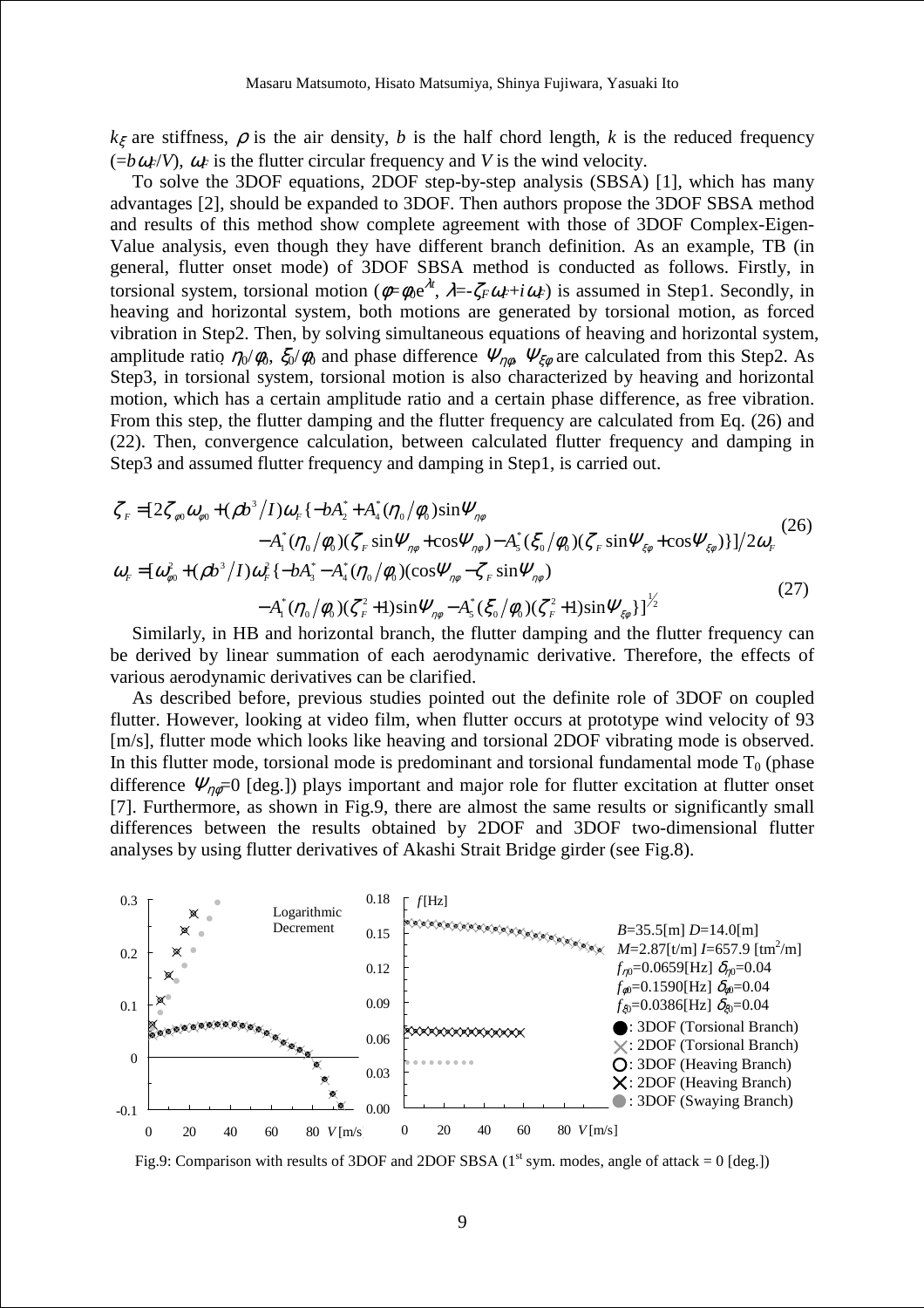$k\zeta$  are stiffness,  $\rho$  is the air density, *b* is the half chord length, *k* is the reduced frequency  $(=b\omega_F/V)$ ,  $\omega_F$  is the flutter circular frequency and *V* is the wind velocity.

To solve the 3DOF equations, 2DOF step-by-step analysis (SBSA) [1], which has many advantages [2], should be expanded to 3DOF. Then authors propose the 3DOF SBSA method and results of this method show complete agreement with those of 3DOF Complex-Eigen-Value analysis, even though they have different branch definition. As an example, TB (in general, flutter onset mode) of 3DOF SBSA method is conducted as follows. Firstly, in torsional system, torsional motion ( $\phi = \phi_0 e^{\lambda t}$ ,  $\lambda = -\zeta_F \omega_F + i\omega_F$ ) is assumed in Step1. Secondly, in heaving and horizontal system, both motions are generated by torsional motion, as forced vibration in Step2. Then, by solving simultaneous equations of heaving and horizontal system, amplitude ratio  $\eta_0/\phi_0$ ,  $\xi_0/\phi_0$  and phase difference  $\Psi_{\eta\phi}$ ,  $\Psi_{\xi\phi}$  are calculated from this Step2. As Step3, in torsional system, torsional motion is also characterized by heaving and horizontal motion, which has a certain amplitude ratio and a certain phase difference, as free vibration. From this step, the flutter damping and the flutter frequency are calculated from Eq. (26) and (22). Then, convergence calculation, between calculated flutter frequency and damping in Step3 and assumed flutter frequency and damping in Step1, is carried out.

$$
\zeta_F = [2\zeta_{\phi 0} \omega_{\phi 0} + (\rho b^3 / I) \omega_F \{-bA_2^* + A_4^* (\eta_0 / \phi_0) \sin \Psi_{\eta \phi} \n- A_1^* (\eta_0 / \phi_0) (\zeta_F \sin \Psi_{\eta \phi} + \cos \Psi_{\eta \phi}) - A_5^* (\zeta_0 / \phi_0) (\zeta_F \sin \Psi_{\xi \phi} + \cos \Psi_{\xi \phi})\}]/2\omega_F
$$
\n
$$
\omega_F = [\omega_{\phi 0}^2 + (\rho b^3 / I) \omega_F^2 \{-bA_3^* - A_4^* (\eta_0 / \phi_0) (\cos \Psi_{\eta \phi} - \zeta_F \sin \Psi_{\eta \phi}) \n- A_1^* (\eta_0 / \phi_0) (\zeta_F^2 + 1) \sin \Psi_{\eta \phi} - A_5^* (\zeta_0 / \phi_0) (\zeta_F^2 + 1) \sin \Psi_{\xi \phi}\} ]^{\frac{1}{2}}
$$
\n(27)

Similarly, in HB and horizontal branch, the flutter damping and the flutter frequency can be derived by linear summation of each aerodynamic derivative. Therefore, the effects of various aerodynamic derivatives can be clarified.

As described before, previous studies pointed out the definite role of 3DOF on coupled flutter. However, looking at video film, when flutter occurs at prototype wind velocity of 93 [m/s], flutter mode which looks like heaving and torsional 2DOF vibrating mode is observed. In this flutter mode, torsional mode is predominant and torsional fundamental mode  $T_0$  (phase difference  $\Psi_{\eta\phi}=0$  [deg.]) plays important and major role for flutter excitation at flutter onset [7]. Furthermore, as shown in Fig.9, there are almost the same results or significantly small differences between the results obtained by 2DOF and 3DOF two-dimensional flutter analyses by using flutter derivatives of Akashi Strait Bridge girder (see Fig.8).



Fig.9: Comparison with results of 3DOF and 2DOF SBSA ( $1<sup>st</sup>$  sym. modes, angle of attack = 0 [deg.])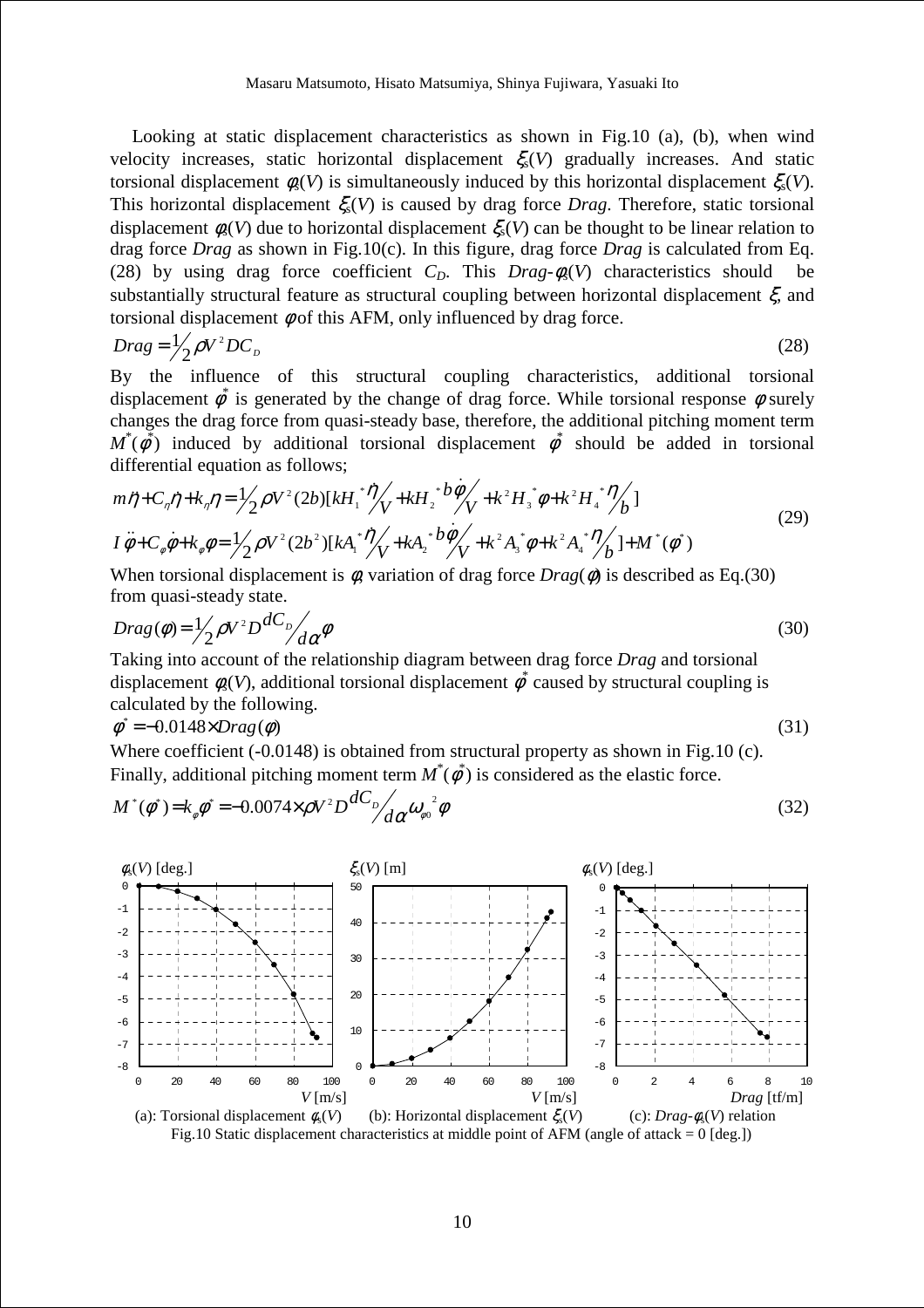Looking at static displacement characteristics as shown in Fig.10 (a), (b), when wind velocity increases, static horizontal displacement  $\xi_s(V)$  gradually increases. And static torsional displacement  $\phi_s(V)$  is simultaneously induced by this horizontal displacement  $\xi_s(V)$ . This horizontal displacement  $\xi(V)$  is caused by drag force *Drag*. Therefore, static torsional displacement  $\phi_{s}(V)$  due to horizontal displacement  $\xi_{s}(V)$  can be thought to be linear relation to drag force *Drag* as shown in Fig.10(c). In this figure, drag force *Drag* is calculated from Eq. (28) by using drag force coefficient  $C_p$ . This  $Drag-\phi_s(V)$  characteristics should be substantially structural feature as structural coupling between horizontal displacement  $\xi$ , and torsional displacement  $\phi$  of this AFM, only influenced by drag force.

$$
Drag = \frac{1}{2} \rho V^2 D C_D \tag{28}
$$

By the influence of this structural coupling characteristics, additional torsional displacement  $\phi^*$  is generated by the change of drag force. While torsional response  $\phi$  surely changes the drag force from quasi-steady base, therefore, the additional pitching moment term  $M^*(\phi^*)$  induced by additional torsional displacement  $\phi^*$  should be added in torsional differential equation as follows;

$$
m\ddot{\eta} + C_{\eta}\dot{\eta} + k_{\eta}\eta = \frac{1}{2}\rho V^2 (2b)[kH_1^* \dot{\eta} / \sqrt{1 + kH_2^* b \dot{\phi} / \sqrt{1 + k^2 H_3^* \dot{\phi} + k^2 H_4^* \dot{\eta} / \sqrt{1 + k^2 H_4^* \dot{\phi} / \sqrt{1 + k^2 H_4^* \dot{\phi} / \sqrt{1 + k^2 H_4^* \dot{\phi} / \sqrt{1 + k^2 H_4^* \dot{\phi} / \sqrt{1 + k^2 H_4^* \dot{\phi} / \sqrt{1 + k^2 H_4^* \dot{\phi} / \sqrt{1 + k^2 H_4^* \dot{\phi} / \sqrt{1 + k^2 H_4^* \dot{\phi} / \sqrt{1 + k^2 H_4^* \dot{\phi} / \sqrt{1 + k^2 H_4^* \dot{\phi} / \sqrt{1 + k^2 H_4^* \dot{\phi} / \sqrt{1 + k^2 H_4^* \dot{\phi} / \sqrt{1 + k^2 H_4^* \dot{\phi} / \sqrt{1 + k^2 H_4^* \dot{\phi} / \sqrt{1 + k^2 H_4^* \dot{\phi} / \sqrt{1 + k^2 H_4^* \dot{\phi} / \sqrt{1 + k^2 H_4^* \dot{\phi} / \sqrt{1 + k^2 H_4^* \dot{\phi} / \sqrt{1 + k^2 H_4^* \dot{\phi} / \sqrt{1 + k^2 H_4^* \dot{\phi} / \sqrt{1 + k^2 H_4^* \dot{\phi} / \sqrt{1 + k^2 H_4^* \dot{\phi} / \sqrt{1 + k^2 H_4^* \dot{\phi} / \sqrt{1 + k^2 H_4^* \dot{\phi} / \sqrt{1 + k^2 H_4^* \dot{\phi} / \sqrt{1 + k^2 H_4^* \dot{\phi} / \sqrt{1 + k^2 H_4^* \dot{\phi} / \sqrt{1 + k^2 H_4^* \dot{\phi} / \sqrt{1 + k^2 H_4^* \dot{\phi} / \sqrt{1 + k^2 H_4^* \dot{\phi} / \sqrt{1 + k^2 H_4^* \dot{\phi} / \sqrt{1 + k^2 H_4^* \dot{\phi} / \sqrt{1 + k^2 H_4^* \dot{\phi} / \sqrt{1 + k^2 H_4^* \dot{\phi} / \sqrt{1 + k^2 H_
$$

When torsional displacement is  $\phi$ , variation of drag force  $Diag(\phi)$  is described as Eq.(30) from quasi-steady state.

$$
Drag(\phi) = \frac{1}{2} \rho V^2 D \frac{dC_p}{d\alpha} \phi
$$
\n(30)

Taking into account of the relationship diagram between drag force *Drag* and torsional displacement  $\phi_s(V)$ , additional torsional displacement  $\phi^*$  caused by structural coupling is calculated by the following.

$$
\phi^* = -0.0148 \times Drag(\phi) \tag{31}
$$

Where coefficient (-0.0148) is obtained from structural property as shown in Fig.10 (c). Finally, additional pitching moment term  $M^*(\phi^*)$  is considered as the elastic force.

$$
M^*(\phi^*) = k_{\phi}\phi^* = -0.0074 \times \rho V^2 D \frac{dC_p}{d\alpha} \omega_{\phi^0}^2 \phi
$$
\n(32)



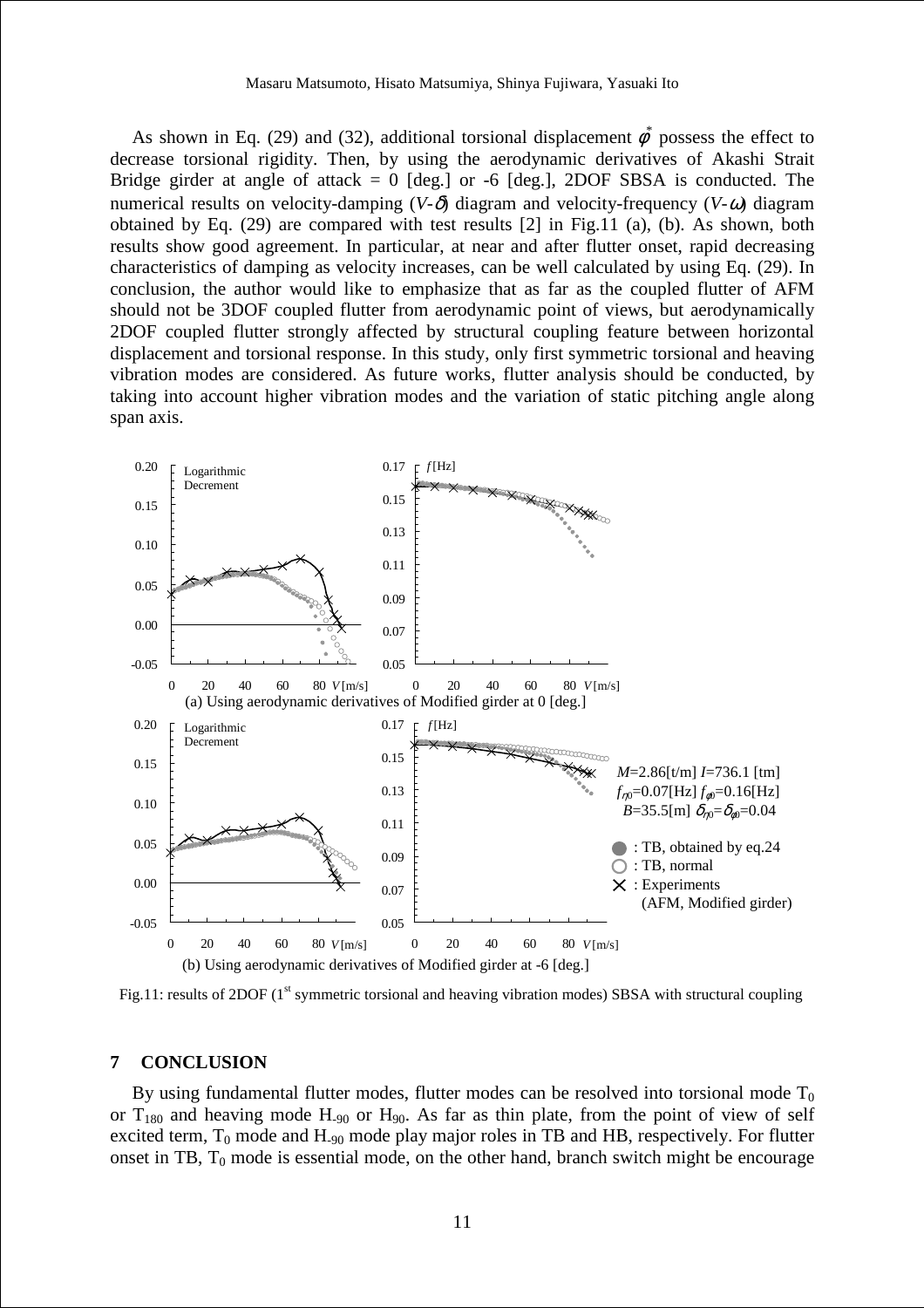As shown in Eq. (29) and (32), additional torsional displacement  $\phi^*$  possess the effect to decrease torsional rigidity. Then, by using the aerodynamic derivatives of Akashi Strait Bridge girder at angle of attack  $= 0$  [deg.] or -6 [deg.], 2DOF SBSA is conducted. The numerical results on velocity-damping  $(V-\delta)$  diagram and velocity-frequency  $(V-\omega)$  diagram obtained by Eq. (29) are compared with test results [2] in Fig.11 (a), (b). As shown, both results show good agreement. In particular, at near and after flutter onset, rapid decreasing characteristics of damping as velocity increases, can be well calculated by using Eq. (29). In conclusion, the author would like to emphasize that as far as the coupled flutter of AFM should not be 3DOF coupled flutter from aerodynamic point of views, but aerodynamically 2DOF coupled flutter strongly affected by structural coupling feature between horizontal displacement and torsional response. In this study, only first symmetric torsional and heaving vibration modes are considered. As future works, flutter analysis should be conducted, by taking into account higher vibration modes and the variation of static pitching angle along span axis.



Fig.11: results of 2DOF ( $1<sup>st</sup>$  symmetric torsional and heaving vibration modes) SBSA with structural coupling

### **7 CONCLUSION**

By using fundamental flutter modes, flutter modes can be resolved into torsional mode  $T_0$ or  $T_{180}$  and heaving mode  $H_{90}$  or  $H_{90}$ . As far as thin plate, from the point of view of self excited term,  $T_0$  mode and  $H_{.90}$  mode play major roles in TB and HB, respectively. For flutter onset in TB,  $T_0$  mode is essential mode, on the other hand, branch switch might be encourage